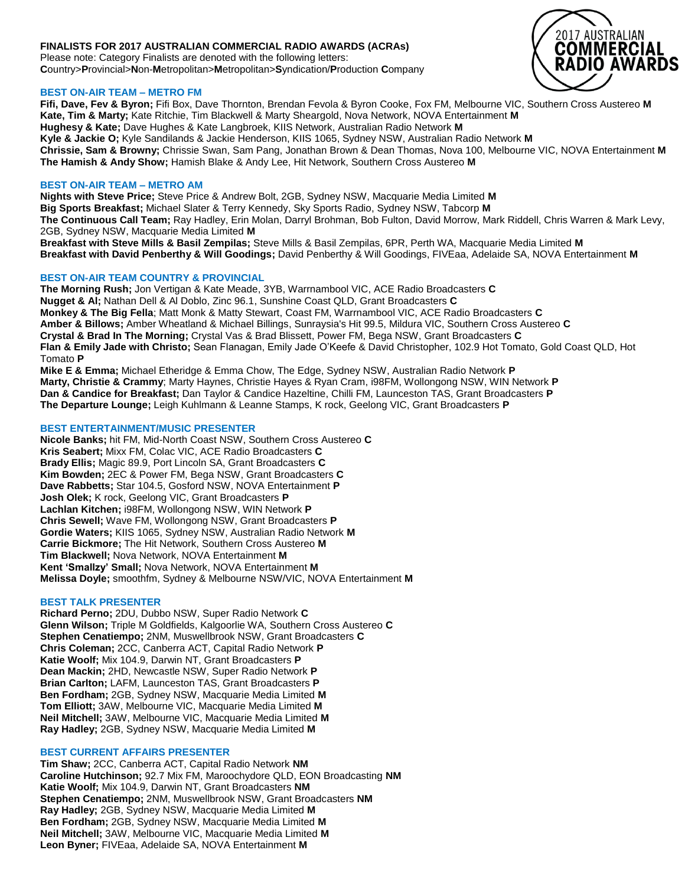# **FINALISTS FOR 2017 AUSTRALIAN COMMERCIAL RADIO AWARDS (ACRAs)**

Please note: Category Finalists are denoted with the following letters: **C**ountry>**P**rovincial>**N**on-**M**etropolitan>**M**etropolitan>**S**yndication/**P**roduction **C**ompany

## **BEST ON-AIR TEAM – METRO FM**

**Fifi, Dave, Fev & Byron;** Fifi Box, Dave Thornton, Brendan Fevola & Byron Cooke, Fox FM, Melbourne VIC, Southern Cross Austereo **M Kate, Tim & Marty;** Kate Ritchie, Tim Blackwell & Marty Sheargold, Nova Network, NOVA Entertainment **M Hughesy & Kate;** Dave Hughes & Kate Langbroek, KIIS Network, Australian Radio Network **M Kyle & Jackie O;** Kyle Sandilands & Jackie Henderson, KIIS 1065, Sydney NSW, Australian Radio Network **M Chrissie, Sam & Browny;** Chrissie Swan, Sam Pang, Jonathan Brown & Dean Thomas, Nova 100, Melbourne VIC, NOVA Entertainment **M The Hamish & Andy Show;** Hamish Blake & Andy Lee, Hit Network, Southern Cross Austereo **M**

## **BEST ON-AIR TEAM – METRO AM**

**Nights with Steve Price;** Steve Price & Andrew Bolt, 2GB, Sydney NSW, Macquarie Media Limited **M Big Sports Breakfast;** Michael Slater & Terry Kennedy, Sky Sports Radio, Sydney NSW, Tabcorp **M The Continuous Call Team;** Ray Hadley, Erin Molan, Darryl Brohman, Bob Fulton, David Morrow, Mark Riddell, Chris Warren & Mark Levy, 2GB, Sydney NSW, Macquarie Media Limited **M**

**Breakfast with Steve Mills & Basil Zempilas;** Steve Mills & Basil Zempilas, 6PR, Perth WA, Macquarie Media Limited **M Breakfast with David Penberthy & Will Goodings;** David Penberthy & Will Goodings, FIVEaa, Adelaide SA, NOVA Entertainment **M**

## **BEST ON-AIR TEAM COUNTRY & PROVINCIAL**

**The Morning Rush;** Jon Vertigan & Kate Meade, 3YB, Warrnambool VIC, ACE Radio Broadcasters **C Nugget & Al;** Nathan Dell & Al Doblo, Zinc 96.1, Sunshine Coast QLD, Grant Broadcasters **C Monkey & The Big Fella**; Matt Monk & Matty Stewart, Coast FM, Warrnambool VIC, ACE Radio Broadcasters **C Amber & Billows;** Amber Wheatland & Michael Billings, Sunraysia's Hit 99.5, Mildura VIC, Southern Cross Austereo **C Crystal & Brad In The Morning;** Crystal Vas & Brad Blissett, Power FM, Bega NSW, Grant Broadcasters **C Flan & Emily Jade with Christo;** Sean Flanagan, Emily Jade O'Keefe & David Christopher, 102.9 Hot Tomato, Gold Coast QLD, Hot Tomato **P**

**Mike E & Emma;** Michael Etheridge & Emma Chow, The Edge, Sydney NSW, Australian Radio Network **P Marty, Christie & Crammy**; Marty Haynes, Christie Hayes & Ryan Cram, i98FM, Wollongong NSW, WIN Network **P Dan & Candice for Breakfast;** Dan Taylor & Candice Hazeltine, Chilli FM, Launceston TAS, Grant Broadcasters **P The Departure Lounge;** Leigh Kuhlmann & Leanne Stamps, K rock, Geelong VIC, Grant Broadcasters **P**

# **BEST ENTERTAINMENT/MUSIC PRESENTER**

**Nicole Banks;** hit FM, Mid-North Coast NSW, Southern Cross Austereo **C Kris Seabert;** Mixx FM, Colac VIC, ACE Radio Broadcasters **C Brady Ellis;** Magic 89.9, Port Lincoln SA, Grant Broadcasters **C Kim Bowden;** 2EC & Power FM, Bega NSW, Grant Broadcasters **C Dave Rabbetts;** Star 104.5, Gosford NSW, NOVA Entertainment **P Josh Olek;** K rock, Geelong VIC, Grant Broadcasters **P Lachlan Kitchen;** i98FM, Wollongong NSW, WIN Network **P Chris Sewell;** Wave FM, Wollongong NSW, Grant Broadcasters **P Gordie Waters;** KIIS 1065, Sydney NSW, Australian Radio Network **M Carrie Bickmore;** The Hit Network, Southern Cross Austereo **M Tim Blackwell;** Nova Network, NOVA Entertainment **M Kent 'Smallzy' Small;** Nova Network, NOVA Entertainment **M Melissa Doyle;** smoothfm, Sydney & Melbourne NSW/VIC, NOVA Entertainment **M**

## **BEST TALK PRESENTER**

**Richard Perno;** 2DU, Dubbo NSW, Super Radio Network **C Glenn Wilson;** Triple M Goldfields, Kalgoorlie WA, Southern Cross Austereo **C Stephen Cenatiempo;** 2NM, Muswellbrook NSW, Grant Broadcasters **C Chris Coleman;** 2CC, Canberra ACT, Capital Radio Network **P Katie Woolf;** Mix 104.9, Darwin NT, Grant Broadcasters **P Dean Mackin;** 2HD, Newcastle NSW, Super Radio Network **P Brian Carlton;** LAFM, Launceston TAS, Grant Broadcasters **P Ben Fordham;** 2GB, Sydney NSW, Macquarie Media Limited **M Tom Elliott;** 3AW, Melbourne VIC, Macquarie Media Limited **M Neil Mitchell;** 3AW, Melbourne VIC, Macquarie Media Limited **M Ray Hadley;** 2GB, Sydney NSW, Macquarie Media Limited **M**

## **BEST CURRENT AFFAIRS PRESENTER**

**Tim Shaw;** 2CC, Canberra ACT, Capital Radio Network **NM Caroline Hutchinson;** 92.7 Mix FM, Maroochydore QLD, EON Broadcasting **NM Katie Woolf;** Mix 104.9, Darwin NT, Grant Broadcasters **NM Stephen Cenatiempo;** 2NM, Muswellbrook NSW, Grant Broadcasters **NM Ray Hadley;** 2GB, Sydney NSW, Macquarie Media Limited **M Ben Fordham;** 2GB, Sydney NSW, Macquarie Media Limited **M Neil Mitchell;** 3AW, Melbourne VIC, Macquarie Media Limited **M Leon Byner;** FIVEaa, Adelaide SA, NOVA Entertainment **M**

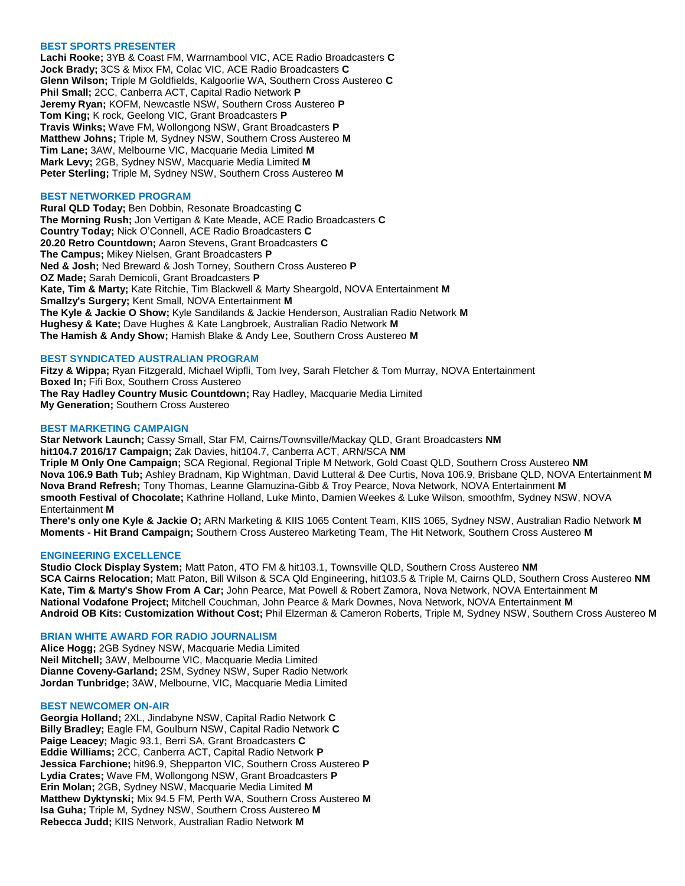### **BEST SPORTS PRESENTER**

**Lachi Rooke;** 3YB & Coast FM, Warrnambool VIC, ACE Radio Broadcasters **C Jock Brady;** 3CS & Mixx FM, Colac VIC, ACE Radio Broadcasters **C Glenn Wilson;** Triple M Goldfields, Kalgoorlie WA, Southern Cross Austereo **C Phil Small;** 2CC, Canberra ACT, Capital Radio Network **P Jeremy Ryan;** KOFM, Newcastle NSW, Southern Cross Austereo **P Tom King;** K rock, Geelong VIC, Grant Broadcasters **P Travis Winks;** Wave FM, Wollongong NSW, Grant Broadcasters **P Matthew Johns;** Triple M, Sydney NSW, Southern Cross Austereo **M Tim Lane;** 3AW, Melbourne VIC, Macquarie Media Limited **M Mark Levy;** 2GB, Sydney NSW, Macquarie Media Limited **M Peter Sterling;** Triple M, Sydney NSW, Southern Cross Austereo **M**

### **BEST NETWORKED PROGRAM**

**Rural QLD Today;** Ben Dobbin, Resonate Broadcasting **C The Morning Rush;** Jon Vertigan & Kate Meade, ACE Radio Broadcasters **C Country Today;** Nick O'Connell, ACE Radio Broadcasters **C 20.20 Retro Countdown;** Aaron Stevens, Grant Broadcasters **C The Campus;** Mikey Nielsen, Grant Broadcasters **P Ned & Josh;** Ned Breward & Josh Torney, Southern Cross Austereo **P OZ Made;** Sarah Demicoli, Grant Broadcasters **P Kate, Tim & Marty;** Kate Ritchie, Tim Blackwell & Marty Sheargold, NOVA Entertainment **M Smallzy's Surgery;** Kent Small, NOVA Entertainment **M The Kyle & Jackie O Show;** Kyle Sandilands & Jackie Henderson, Australian Radio Network **M Hughesy & Kate;** Dave Hughes & Kate Langbroek, Australian Radio Network **M The Hamish & Andy Show;** Hamish Blake & Andy Lee, Southern Cross Austereo **M**

## **BEST SYNDICATED AUSTRALIAN PROGRAM**

**Fitzy & Wippa;** Ryan Fitzgerald, Michael Wipfli, Tom Ivey, Sarah Fletcher & Tom Murray, NOVA Entertainment **Boxed In;** Fifi Box, Southern Cross Austereo **The Ray Hadley Country Music Countdown;** Ray Hadley, Macquarie Media Limited **My Generation;** Southern Cross Austereo

## **BEST MARKETING CAMPAIGN**

**Star Network Launch;** Cassy Small, Star FM, Cairns/Townsville/Mackay QLD, Grant Broadcasters **NM hit104.7 2016/17 Campaign;** Zak Davies, hit104.7, Canberra ACT, ARN/SCA **NM Triple M Only One Campaign;** SCA Regional, Regional Triple M Network, Gold Coast QLD, Southern Cross Austereo **NM Nova 106.9 Bath Tub;** Ashley Bradnam, Kip Wightman, David Lutteral & Dee Curtis, Nova 106.9, Brisbane QLD, NOVA Entertainment **M Nova Brand Refresh;** Tony Thomas, Leanne Glamuzina-Gibb & Troy Pearce, Nova Network, NOVA Entertainment **M smooth Festival of Chocolate;** Kathrine Holland, Luke Minto, Damien Weekes & Luke Wilson, smoothfm, Sydney NSW, NOVA Entertainment **M**

**There's only one Kyle & Jackie O;** ARN Marketing & KIIS 1065 Content Team, KIIS 1065, Sydney NSW, Australian Radio Network **M Moments - Hit Brand Campaign;** Southern Cross Austereo Marketing Team, The Hit Network, Southern Cross Austereo **M**

#### **ENGINEERING EXCELLENCE**

**Studio Clock Display System;** Matt Paton, 4TO FM & hit103.1, Townsville QLD, Southern Cross Austereo **NM SCA Cairns Relocation;** Matt Paton, Bill Wilson & SCA Qld Engineering, hit103.5 & Triple M, Cairns QLD, Southern Cross Austereo **NM Kate, Tim & Marty's Show From A Car;** John Pearce, Mat Powell & Robert Zamora, Nova Network, NOVA Entertainment **M National Vodafone Project;** Mitchell Couchman, John Pearce & Mark Downes, Nova Network, NOVA Entertainment **M Android OB Kits: Customization Without Cost;** Phil Elzerman & Cameron Roberts, Triple M, Sydney NSW, Southern Cross Austereo **M**

### **BRIAN WHITE AWARD FOR RADIO JOURNALISM**

**Alice Hogg;** 2GB Sydney NSW, Macquarie Media Limited **Neil Mitchell;** 3AW, Melbourne VIC, Macquarie Media Limited **Dianne Coveny-Garland;** 2SM, Sydney NSW, Super Radio Network **Jordan Tunbridge;** 3AW, Melbourne, VIC, Macquarie Media Limited

#### **BEST NEWCOMER ON-AIR**

**Georgia Holland;** 2XL, Jindabyne NSW, Capital Radio Network **C Billy Bradley;** Eagle FM, Goulburn NSW, Capital Radio Network **C Paige Leacey;** Magic 93.1, Berri SA, Grant Broadcasters **C Eddie Williams;** 2CC, Canberra ACT, Capital Radio Network **P Jessica Farchione;** hit96.9, Shepparton VIC, Southern Cross Austereo **P Lydia Crates;** Wave FM, Wollongong NSW, Grant Broadcasters **P Erin Molan;** 2GB, Sydney NSW, Macquarie Media Limited **M Matthew Dyktynski;** Mix 94.5 FM, Perth WA, Southern Cross Austereo **M Isa Guha;** Triple M, Sydney NSW, Southern Cross Austereo **M Rebecca Judd;** KIIS Network, Australian Radio Network **M**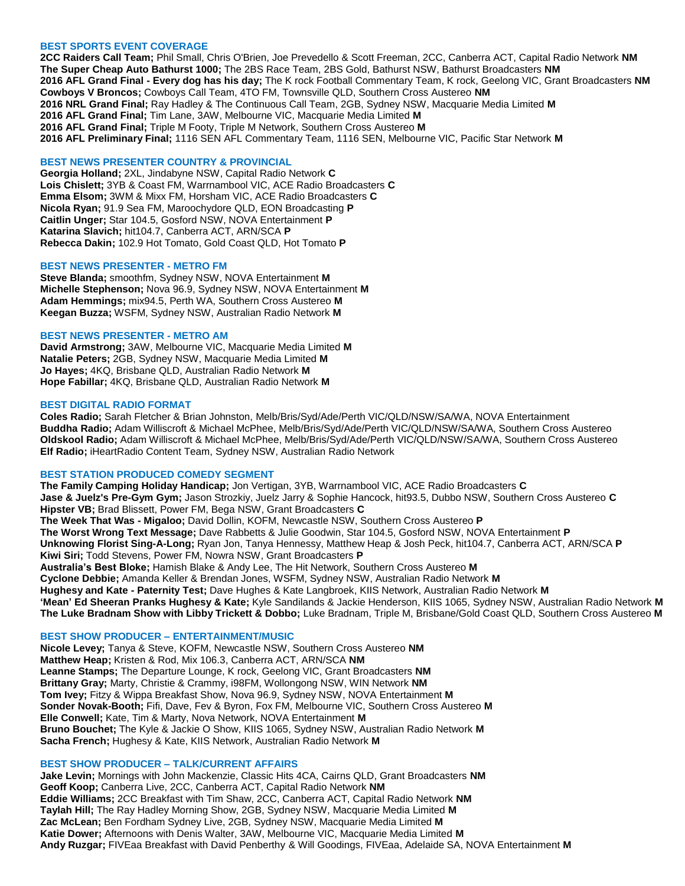#### **BEST SPORTS EVENT COVERAGE**

**2CC Raiders Call Team;** Phil Small, Chris O'Brien, Joe Prevedello & Scott Freeman, 2CC, Canberra ACT, Capital Radio Network **NM The Super Cheap Auto Bathurst 1000;** The 2BS Race Team, 2BS Gold, Bathurst NSW, Bathurst Broadcasters **NM 2016 AFL Grand Final - Every dog has his day;** The K rock Football Commentary Team, K rock, Geelong VIC, Grant Broadcasters **NM Cowboys V Broncos;** Cowboys Call Team, 4TO FM, Townsville QLD, Southern Cross Austereo **NM 2016 NRL Grand Final;** Ray Hadley & The Continuous Call Team, 2GB, Sydney NSW, Macquarie Media Limited **M 2016 AFL Grand Final;** Tim Lane, 3AW, Melbourne VIC, Macquarie Media Limited **M 2016 AFL Grand Final;** Triple M Footy, Triple M Network, Southern Cross Austereo **M 2016 AFL Preliminary Final;** 1116 SEN AFL Commentary Team, 1116 SEN, Melbourne VIC, Pacific Star Network **M**

## **BEST NEWS PRESENTER COUNTRY & PROVINCIAL**

**Georgia Holland;** 2XL, Jindabyne NSW, Capital Radio Network **C Lois Chislett;** 3YB & Coast FM, Warrnambool VIC, ACE Radio Broadcasters **C Emma Elsom;** 3WM & Mixx FM, Horsham VIC, ACE Radio Broadcasters **C Nicola Ryan;** 91.9 Sea FM, Maroochydore QLD, EON Broadcasting **P Caitlin Unger;** Star 104.5, Gosford NSW, NOVA Entertainment **P Katarina Slavich;** hit104.7, Canberra ACT, ARN/SCA **P Rebecca Dakin;** 102.9 Hot Tomato, Gold Coast QLD, Hot Tomato **P**

## **BEST NEWS PRESENTER - METRO FM**

**Steve Blanda;** smoothfm, Sydney NSW, NOVA Entertainment **M Michelle Stephenson;** Nova 96.9, Sydney NSW, NOVA Entertainment **M Adam Hemmings;** mix94.5, Perth WA, Southern Cross Austereo **M Keegan Buzza;** WSFM, Sydney NSW, Australian Radio Network **M**

## **BEST NEWS PRESENTER - METRO AM**

**David Armstrong;** 3AW, Melbourne VIC, Macquarie Media Limited **M Natalie Peters;** 2GB, Sydney NSW, Macquarie Media Limited **M Jo Hayes;** 4KQ, Brisbane QLD, Australian Radio Network **M Hope Fabillar;** 4KQ, Brisbane QLD, Australian Radio Network **M**

#### **BEST DIGITAL RADIO FORMAT**

**Coles Radio;** Sarah Fletcher & Brian Johnston, Melb/Bris/Syd/Ade/Perth VIC/QLD/NSW/SA/WA, NOVA Entertainment **Buddha Radio;** Adam Williscroft & Michael McPhee, Melb/Bris/Syd/Ade/Perth VIC/QLD/NSW/SA/WA, Southern Cross Austereo **Oldskool Radio;** Adam Williscroft & Michael McPhee, Melb/Bris/Syd/Ade/Perth VIC/QLD/NSW/SA/WA, Southern Cross Austereo **Elf Radio;** iHeartRadio Content Team, Sydney NSW, Australian Radio Network

## **BEST STATION PRODUCED COMEDY SEGMENT**

**The Family Camping Holiday Handicap;** Jon Vertigan, 3YB, Warrnambool VIC, ACE Radio Broadcasters **C Jase & Juelz's Pre-Gym Gym;** Jason Strozkiy, Juelz Jarry & Sophie Hancock, hit93.5, Dubbo NSW, Southern Cross Austereo **C Hipster VB;** Brad Blissett, Power FM, Bega NSW, Grant Broadcasters **C The Week That Was - Migaloo;** David Dollin, KOFM, Newcastle NSW, Southern Cross Austereo **P The Worst Wrong Text Message;** Dave Rabbetts & Julie Goodwin, Star 104.5, Gosford NSW, NOVA Entertainment **P Unknowing Florist Sing-A-Long;** Ryan Jon, Tanya Hennessy, Matthew Heap & Josh Peck, hit104.7, Canberra ACT, ARN/SCA **P Kiwi Siri;** Todd Stevens, Power FM, Nowra NSW, Grant Broadcasters **P Australia's Best Bloke;** Hamish Blake & Andy Lee, The Hit Network, Southern Cross Austereo **M Cyclone Debbie;** Amanda Keller & Brendan Jones, WSFM, Sydney NSW, Australian Radio Network **M Hughesy and Kate - Paternity Test;** Dave Hughes & Kate Langbroek, KIIS Network, Australian Radio Network **M 'Mean' Ed Sheeran Pranks Hughesy & Kate;** Kyle Sandilands & Jackie Henderson, KIIS 1065, Sydney NSW, Australian Radio Network **M The Luke Bradnam Show with Libby Trickett & Dobbo;** Luke Bradnam, Triple M, Brisbane/Gold Coast QLD, Southern Cross Austereo **M**

## **BEST SHOW PRODUCER – ENTERTAINMENT/MUSIC**

**Nicole Levey;** Tanya & Steve, KOFM, Newcastle NSW, Southern Cross Austereo **NM Matthew Heap;** Kristen & Rod, Mix 106.3, Canberra ACT, ARN/SCA **NM Leanne Stamps;** The Departure Lounge, K rock, Geelong VIC, Grant Broadcasters **NM Brittany Gray;** Marty, Christie & Crammy, i98FM, Wollongong NSW, WIN Network **NM Tom Ivey;** Fitzy & Wippa Breakfast Show, Nova 96.9, Sydney NSW, NOVA Entertainment **M Sonder Novak-Booth;** Fifi, Dave, Fev & Byron, Fox FM, Melbourne VIC, Southern Cross Austereo **M Elle Conwell;** Kate, Tim & Marty, Nova Network, NOVA Entertainment **M Bruno Bouchet;** The Kyle & Jackie O Show, KIIS 1065, Sydney NSW, Australian Radio Network **M Sacha French;** Hughesy & Kate, KIIS Network, Australian Radio Network **M**

#### **BEST SHOW PRODUCER – TALK/CURRENT AFFAIRS**

**Jake Levin;** Mornings with John Mackenzie, Classic Hits 4CA, Cairns QLD, Grant Broadcasters **NM Geoff Koop;** Canberra Live, 2CC, Canberra ACT, Capital Radio Network **NM Eddie Williams;** 2CC Breakfast with Tim Shaw, 2CC, Canberra ACT, Capital Radio Network **NM Taylah Hill;** The Ray Hadley Morning Show, 2GB, Sydney NSW, Macquarie Media Limited **M Zac McLean;** Ben Fordham Sydney Live, 2GB, Sydney NSW, Macquarie Media Limited **M Katie Dower;** Afternoons with Denis Walter, 3AW, Melbourne VIC, Macquarie Media Limited **M Andy Ruzgar;** FIVEaa Breakfast with David Penberthy & Will Goodings, FIVEaa, Adelaide SA, NOVA Entertainment **M**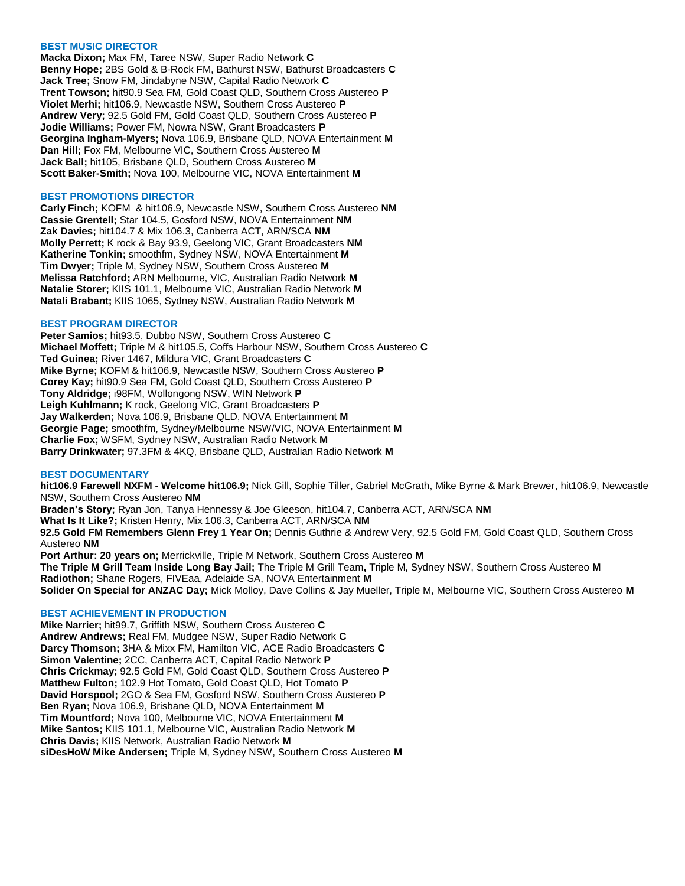## **BEST MUSIC DIRECTOR**

**Macka Dixon;** Max FM, Taree NSW, Super Radio Network **C Benny Hope;** 2BS Gold & B-Rock FM, Bathurst NSW, Bathurst Broadcasters **C Jack Tree;** Snow FM, Jindabyne NSW, Capital Radio Network **C Trent Towson;** hit90.9 Sea FM, Gold Coast QLD, Southern Cross Austereo **P Violet Merhi;** hit106.9, Newcastle NSW, Southern Cross Austereo **P Andrew Very;** 92.5 Gold FM, Gold Coast QLD, Southern Cross Austereo **P Jodie Williams;** Power FM, Nowra NSW, Grant Broadcasters **P Georgina Ingham-Myers;** Nova 106.9, Brisbane QLD, NOVA Entertainment **M Dan Hill;** Fox FM, Melbourne VIC, Southern Cross Austereo **M Jack Ball;** hit105, Brisbane QLD, Southern Cross Austereo **M Scott Baker-Smith;** Nova 100, Melbourne VIC, NOVA Entertainment **M**

### **BEST PROMOTIONS DIRECTOR**

**Carly Finch;** KOFM & hit106.9, Newcastle NSW, Southern Cross Austereo **NM Cassie Grentell;** Star 104.5, Gosford NSW, NOVA Entertainment **NM Zak Davies;** hit104.7 & Mix 106.3, Canberra ACT, ARN/SCA **NM Molly Perrett;** K rock & Bay 93.9, Geelong VIC, Grant Broadcasters **NM Katherine Tonkin;** smoothfm, Sydney NSW, NOVA Entertainment **M Tim Dwyer;** Triple M, Sydney NSW, Southern Cross Austereo **M Melissa Ratchford;** ARN Melbourne, VIC, Australian Radio Network **M Natalie Storer;** KIIS 101.1, Melbourne VIC, Australian Radio Network **M Natali Brabant;** KIIS 1065, Sydney NSW, Australian Radio Network **M**

## **BEST PROGRAM DIRECTOR**

**Peter Samios;** hit93.5, Dubbo NSW, Southern Cross Austereo **C Michael Moffett;** Triple M & hit105.5, Coffs Harbour NSW, Southern Cross Austereo **C Ted Guinea;** River 1467, Mildura VIC, Grant Broadcasters **C Mike Byrne;** KOFM & hit106.9, Newcastle NSW, Southern Cross Austereo **P Corey Kay;** hit90.9 Sea FM, Gold Coast QLD, Southern Cross Austereo **P Tony Aldridge;** i98FM, Wollongong NSW, WIN Network **P Leigh Kuhlmann;** K rock, Geelong VIC, Grant Broadcasters **P Jay Walkerden;** Nova 106.9, Brisbane QLD, NOVA Entertainment **M Georgie Page;** smoothfm, Sydney/Melbourne NSW/VIC, NOVA Entertainment **M Charlie Fox;** WSFM, Sydney NSW, Australian Radio Network **M Barry Drinkwater;** 97.3FM & 4KQ, Brisbane QLD, Australian Radio Network **M**

#### **BEST DOCUMENTARY**

**hit106.9 Farewell NXFM - Welcome hit106.9;** Nick Gill, Sophie Tiller, Gabriel McGrath, Mike Byrne & Mark Brewer, hit106.9, Newcastle NSW, Southern Cross Austereo **NM Braden's Story;** Ryan Jon, Tanya Hennessy & Joe Gleeson, hit104.7, Canberra ACT, ARN/SCA **NM What Is It Like?;** Kristen Henry, Mix 106.3, Canberra ACT, ARN/SCA **NM 92.5 Gold FM Remembers Glenn Frey 1 Year On;** Dennis Guthrie & Andrew Very, 92.5 Gold FM, Gold Coast QLD, Southern Cross Austereo **NM Port Arthur: 20 years on;** Merrickville, Triple M Network, Southern Cross Austereo **M The Triple M Grill Team Inside Long Bay Jail;** The Triple M Grill Team**,** Triple M, Sydney NSW, Southern Cross Austereo **M Radiothon;** Shane Rogers, FIVEaa, Adelaide SA, NOVA Entertainment **M Solider On Special for ANZAC Day;** Mick Molloy, Dave Collins & Jay Mueller, Triple M, Melbourne VIC, Southern Cross Austereo **M**

#### **BEST ACHIEVEMENT IN PRODUCTION**

**Mike Narrier;** hit99.7, Griffith NSW, Southern Cross Austereo **C Andrew Andrews;** Real FM, Mudgee NSW, Super Radio Network **C Darcy Thomson;** 3HA & Mixx FM, Hamilton VIC, ACE Radio Broadcasters **C Simon Valentine;** 2CC, Canberra ACT, Capital Radio Network **P Chris Crickmay;** 92.5 Gold FM, Gold Coast QLD, Southern Cross Austereo **P Matthew Fulton;** 102.9 Hot Tomato, Gold Coast QLD, Hot Tomato **P David Horspool;** 2GO & Sea FM, Gosford NSW, Southern Cross Austereo **P Ben Ryan;** Nova 106.9, Brisbane QLD, NOVA Entertainment **M Tim Mountford;** Nova 100, Melbourne VIC, NOVA Entertainment **M Mike Santos;** KIIS 101.1, Melbourne VIC, Australian Radio Network **M Chris Davis;** KIIS Network, Australian Radio Network **M siDesHoW Mike Andersen;** Triple M, Sydney NSW, Southern Cross Austereo **M**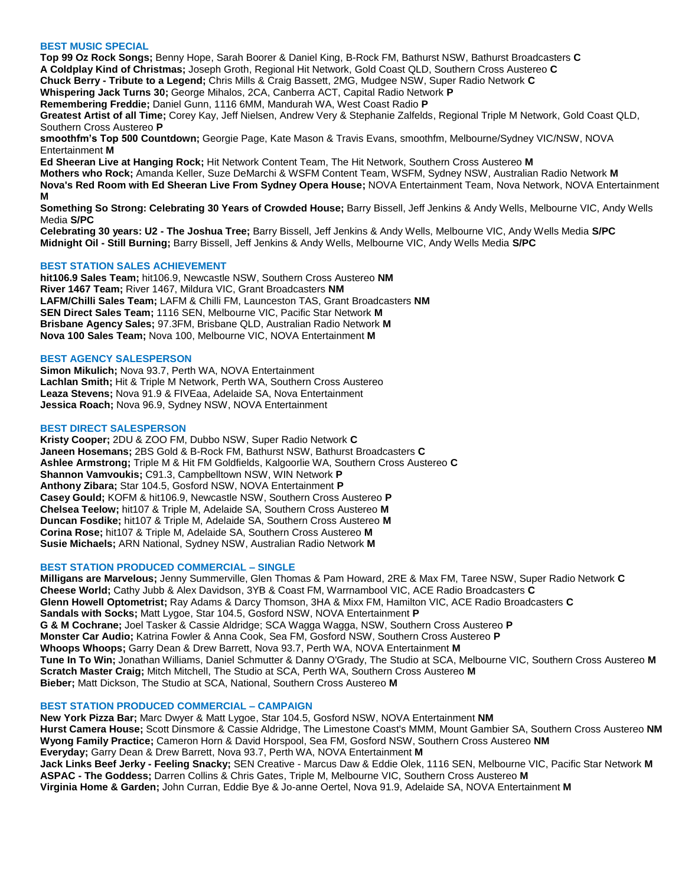## **BEST MUSIC SPECIAL**

**Top 99 Oz Rock Songs;** Benny Hope, Sarah Boorer & Daniel King, B-Rock FM, Bathurst NSW, Bathurst Broadcasters **C A Coldplay Kind of Christmas;** Joseph Groth, Regional Hit Network, Gold Coast QLD, Southern Cross Austereo **C Chuck Berry - Tribute to a Legend;** Chris Mills & Craig Bassett, 2MG, Mudgee NSW, Super Radio Network **C Whispering Jack Turns 30;** George Mihalos, 2CA, Canberra ACT, Capital Radio Network **P Remembering Freddie;** Daniel Gunn, 1116 6MM, Mandurah WA, West Coast Radio **P Greatest Artist of all Time;** Corey Kay, Jeff Nielsen, Andrew Very & Stephanie Zalfelds, Regional Triple M Network, Gold Coast QLD, Southern Cross Austereo **P smoothfm's Top 500 Countdown;** Georgie Page, Kate Mason & Travis Evans, smoothfm, Melbourne/Sydney VIC/NSW, NOVA Entertainment **M Ed Sheeran Live at Hanging Rock;** Hit Network Content Team, The Hit Network, Southern Cross Austereo **M Mothers who Rock;** Amanda Keller, Suze DeMarchi & WSFM Content Team, WSFM, Sydney NSW, Australian Radio Network **M**

**Nova's Red Room with Ed Sheeran Live From Sydney Opera House;** NOVA Entertainment Team, Nova Network, NOVA Entertainment **M**

**Something So Strong: Celebrating 30 Years of Crowded House;** Barry Bissell, Jeff Jenkins & Andy Wells, Melbourne VIC, Andy Wells Media **S/PC**

**Celebrating 30 years: U2 - The Joshua Tree;** Barry Bissell, Jeff Jenkins & Andy Wells, Melbourne VIC, Andy Wells Media **S/PC Midnight Oil - Still Burning;** Barry Bissell, Jeff Jenkins & Andy Wells, Melbourne VIC, Andy Wells Media **S/PC**

## **BEST STATION SALES ACHIEVEMENT**

**hit106.9 Sales Team;** hit106.9, Newcastle NSW, Southern Cross Austereo **NM River 1467 Team;** River 1467, Mildura VIC, Grant Broadcasters **NM LAFM/Chilli Sales Team;** LAFM & Chilli FM, Launceston TAS, Grant Broadcasters **NM SEN Direct Sales Team;** 1116 SEN, Melbourne VIC, Pacific Star Network **M Brisbane Agency Sales;** 97.3FM, Brisbane QLD, Australian Radio Network **M Nova 100 Sales Team;** Nova 100, Melbourne VIC, NOVA Entertainment **M**

#### **BEST AGENCY SALESPERSON**

**Simon Mikulich;** Nova 93.7, Perth WA, NOVA Entertainment **Lachlan Smith;** Hit & Triple M Network, Perth WA, Southern Cross Austereo **Leaza Stevens;** Nova 91.9 & FIVEaa, Adelaide SA, Nova Entertainment **Jessica Roach;** Nova 96.9, Sydney NSW, NOVA Entertainment

## **BEST DIRECT SALESPERSON**

**Kristy Cooper;** 2DU & ZOO FM, Dubbo NSW, Super Radio Network **C Janeen Hosemans;** 2BS Gold & B-Rock FM, Bathurst NSW, Bathurst Broadcasters **C Ashlee Armstrong;** Triple M & Hit FM Goldfields, Kalgoorlie WA, Southern Cross Austereo **C Shannon Vamvoukis;** C91.3, Campbelltown NSW, WIN Network **P Anthony Zibara;** Star 104.5, Gosford NSW, NOVA Entertainment **P Casey Gould;** KOFM & hit106.9, Newcastle NSW, Southern Cross Austereo **P Chelsea Teelow;** hit107 & Triple M, Adelaide SA, Southern Cross Austereo **M Duncan Fosdike;** hit107 & Triple M, Adelaide SA, Southern Cross Austereo **M Corina Rose;** hit107 & Triple M, Adelaide SA, Southern Cross Austereo **M Susie Michaels;** ARN National, Sydney NSW, Australian Radio Network **M**

#### **BEST STATION PRODUCED COMMERCIAL – SINGLE**

**Milligans are Marvelous;** Jenny Summerville, Glen Thomas & Pam Howard, 2RE & Max FM, Taree NSW, Super Radio Network **C Cheese World;** Cathy Jubb & Alex Davidson, 3YB & Coast FM, Warrnambool VIC, ACE Radio Broadcasters **C Glenn Howell Optometrist;** Ray Adams & Darcy Thomson, 3HA & Mixx FM, Hamilton VIC, ACE Radio Broadcasters **C Sandals with Socks;** Matt Lygoe, Star 104.5, Gosford NSW, NOVA Entertainment **P G & M Cochrane;** Joel Tasker & Cassie Aldridge; SCA Wagga Wagga, NSW, Southern Cross Austereo **P Monster Car Audio;** Katrina Fowler & Anna Cook, Sea FM, Gosford NSW, Southern Cross Austereo **P Whoops Whoops;** Garry Dean & Drew Barrett, Nova 93.7, Perth WA, NOVA Entertainment **M Tune In To Win;** Jonathan Williams, Daniel Schmutter & Danny O'Grady, The Studio at SCA, Melbourne VIC, Southern Cross Austereo **M Scratch Master Craig;** Mitch Mitchell, The Studio at SCA, Perth WA, Southern Cross Austereo **M Bieber;** Matt Dickson, The Studio at SCA, National, Southern Cross Austereo **M**

#### **BEST STATION PRODUCED COMMERCIAL – CAMPAIGN**

**New York Pizza Bar;** Marc Dwyer & Matt Lygoe, Star 104.5, Gosford NSW, NOVA Entertainment **NM Hurst Camera House;** Scott Dinsmore & Cassie Aldridge, The Limestone Coast's MMM, Mount Gambier SA, Southern Cross Austereo **NM Wyong Family Practice;** Cameron Horn & David Horspool, Sea FM, Gosford NSW, Southern Cross Austereo **NM Everyday;** Garry Dean & Drew Barrett, Nova 93.7, Perth WA, NOVA Entertainment **M Jack Links Beef Jerky - Feeling Snacky;** SEN Creative - Marcus Daw & Eddie Olek, 1116 SEN, Melbourne VIC, Pacific Star Network **M ASPAC - The Goddess;** Darren Collins & Chris Gates, Triple M, Melbourne VIC, Southern Cross Austereo **M Virginia Home & Garden;** John Curran, Eddie Bye & Jo-anne Oertel, Nova 91.9, Adelaide SA, NOVA Entertainment **M**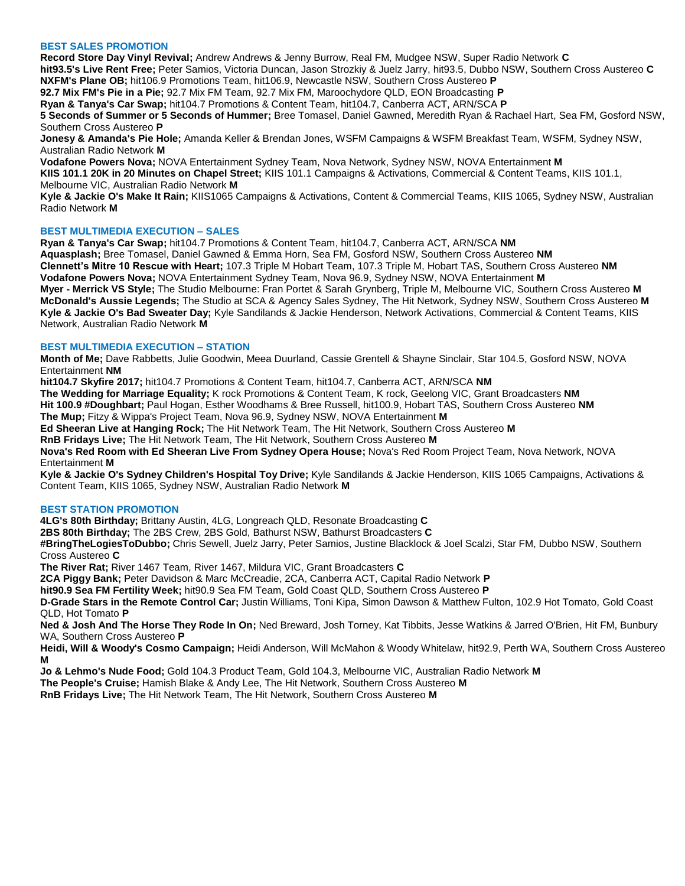### **BEST SALES PROMOTION**

**Record Store Day Vinyl Revival;** Andrew Andrews & Jenny Burrow, Real FM, Mudgee NSW, Super Radio Network **C hit93.5's Live Rent Free;** Peter Samios, Victoria Duncan, Jason Strozkiy & Juelz Jarry, hit93.5, Dubbo NSW, Southern Cross Austereo **C NXFM's Plane OB;** hit106.9 Promotions Team, hit106.9, Newcastle NSW, Southern Cross Austereo **P 92.7 Mix FM's Pie in a Pie;** 92.7 Mix FM Team, 92.7 Mix FM, Maroochydore QLD, EON Broadcasting **P Ryan & Tanya's Car Swap;** hit104.7 Promotions & Content Team, hit104.7, Canberra ACT, ARN/SCA **P 5 Seconds of Summer or 5 Seconds of Hummer;** Bree Tomasel, Daniel Gawned, Meredith Ryan & Rachael Hart, Sea FM, Gosford NSW, Southern Cross Austereo **P Jonesy & Amanda's Pie Hole;** Amanda Keller & Brendan Jones, WSFM Campaigns & WSFM Breakfast Team, WSFM, Sydney NSW,

Australian Radio Network **M**

**Vodafone Powers Nova;** NOVA Entertainment Sydney Team, Nova Network, Sydney NSW, NOVA Entertainment **M KIIS 101.1 20K in 20 Minutes on Chapel Street;** KIIS 101.1 Campaigns & Activations, Commercial & Content Teams, KIIS 101.1, Melbourne VIC, Australian Radio Network **M**

**Kyle & Jackie O's Make It Rain;** KIIS1065 Campaigns & Activations, Content & Commercial Teams, KIIS 1065, Sydney NSW, Australian Radio Network **M**

# **BEST MULTIMEDIA EXECUTION – SALES**

**Ryan & Tanya's Car Swap;** hit104.7 Promotions & Content Team, hit104.7, Canberra ACT, ARN/SCA **NM Aquasplash;** Bree Tomasel, Daniel Gawned & Emma Horn, Sea FM, Gosford NSW, Southern Cross Austereo **NM Clennett's Mitre 10 Rescue with Heart;** 107.3 Triple M Hobart Team, 107.3 Triple M, Hobart TAS, Southern Cross Austereo **NM Vodafone Powers Nova;** NOVA Entertainment Sydney Team, Nova 96.9, Sydney NSW, NOVA Entertainment **M Myer - Merrick VS Style;** The Studio Melbourne: Fran Portet & Sarah Grynberg, Triple M, Melbourne VIC, Southern Cross Austereo **M McDonald's Aussie Legends;** The Studio at SCA & Agency Sales Sydney, The Hit Network, Sydney NSW, Southern Cross Austereo **M Kyle & Jackie O's Bad Sweater Day;** Kyle Sandilands & Jackie Henderson, Network Activations, Commercial & Content Teams, KIIS Network, Australian Radio Network **M**

# **BEST MULTIMEDIA EXECUTION – STATION**

**Month of Me;** Dave Rabbetts, Julie Goodwin, Meea Duurland, Cassie Grentell & Shayne Sinclair, Star 104.5, Gosford NSW, NOVA Entertainment **NM**

**hit104.7 Skyfire 2017;** hit104.7 Promotions & Content Team, hit104.7, Canberra ACT, ARN/SCA **NM**

**The Wedding for Marriage Equality;** K rock Promotions & Content Team, K rock, Geelong VIC, Grant Broadcasters **NM Hit 100.9 #Doughbart;** Paul Hogan, Esther Woodhams & Bree Russell, hit100.9, Hobart TAS, Southern Cross Austereo **NM The Mup;** Fitzy & Wippa's Project Team, Nova 96.9, Sydney NSW, NOVA Entertainment **M**

**Ed Sheeran Live at Hanging Rock;** The Hit Network Team, The Hit Network, Southern Cross Austereo **M**

**RnB Fridays Live;** The Hit Network Team, The Hit Network, Southern Cross Austereo **M**

**Nova's Red Room with Ed Sheeran Live From Sydney Opera House;** Nova's Red Room Project Team, Nova Network, NOVA Entertainment **M**

**Kyle & Jackie O's Sydney Children's Hospital Toy Drive;** Kyle Sandilands & Jackie Henderson, KIIS 1065 Campaigns, Activations & Content Team, KIIS 1065, Sydney NSW, Australian Radio Network **M**

## **BEST STATION PROMOTION**

**4LG's 80th Birthday;** Brittany Austin, 4LG, Longreach QLD, Resonate Broadcasting **C**

**2BS 80th Birthday;** The 2BS Crew, 2BS Gold, Bathurst NSW, Bathurst Broadcasters **C**

**#BringTheLogiesToDubbo;** Chris Sewell, Juelz Jarry, Peter Samios, Justine Blacklock & Joel Scalzi, Star FM, Dubbo NSW, Southern Cross Austereo **C**

**The River Rat;** River 1467 Team, River 1467, Mildura VIC, Grant Broadcasters **C**

**2CA Piggy Bank;** Peter Davidson & Marc McCreadie, 2CA, Canberra ACT, Capital Radio Network **P**

**hit90.9 Sea FM Fertility Week;** hit90.9 Sea FM Team, Gold Coast QLD, Southern Cross Austereo **P**

**D-Grade Stars in the Remote Control Car;** Justin Williams, Toni Kipa, Simon Dawson & Matthew Fulton, 102.9 Hot Tomato, Gold Coast QLD, Hot Tomato **P**

**Ned & Josh And The Horse They Rode In On;** Ned Breward, Josh Torney, Kat Tibbits, Jesse Watkins & Jarred O'Brien, Hit FM, Bunbury WA, Southern Cross Austereo **P**

**Heidi, Will & Woody's Cosmo Campaign;** Heidi Anderson, Will McMahon & Woody Whitelaw, hit92.9, Perth WA, Southern Cross Austereo **M**

**Jo & Lehmo's Nude Food;** Gold 104.3 Product Team, Gold 104.3, Melbourne VIC, Australian Radio Network **M**

**The People's Cruise;** Hamish Blake & Andy Lee, The Hit Network, Southern Cross Austereo **M**

**RnB Fridays Live;** The Hit Network Team, The Hit Network, Southern Cross Austereo **M**